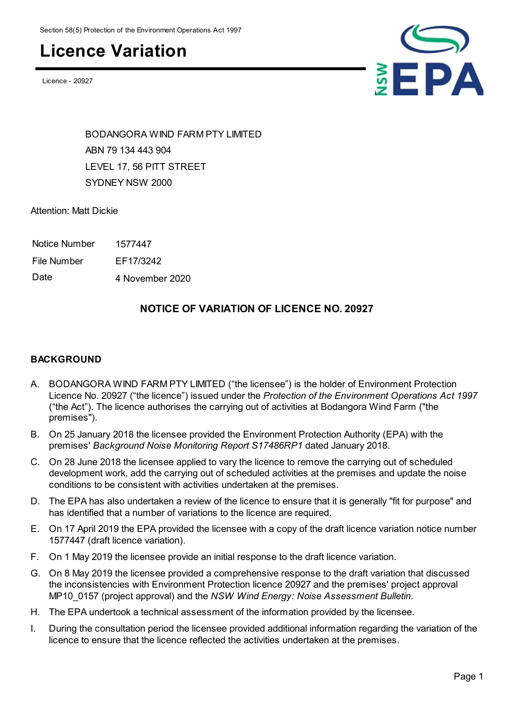### **Licence Variation**

Licence - 20927



BODANGORA WIND FARM PTY LIMITED ABN 79 134 443 904 LEVEL 17, 56 PITT STREET SYDNEY NSW 2000

Attention: Matt Dickie

| Notice Number | 1577447 |
|---------------|---------|
|               |         |

File Number EF17/3242

Date 4 November 2020

### **NOTICE OF VARIATION OF LICENCE NO. 20927**

#### **BACKGROUND**

- A. BODANGORA WIND FARM PTY LIMITED ("the licensee") is the holder of Environment Protection Licence No. 20927 ("the licence") issued under the *Protection of the Environment Operations Act 1997* ("the Act"). The licence authorises the carrying out of activities at Bodangora Wind Farm ("the premises").
- B. On 25 January 2018 the licensee provided the Environment Protection Authority (EPA) with the premises' *Background Noise Monitoring Report S17486RP1* dated January 2018.
- C. On 28 June 2018 the licensee applied to vary the licence to remove the carrying out of scheduled development work, add the carrying out of scheduled activities at the premises and update the noise conditions to be consistent with activities undertaken at the premises.
- D. The EPA has also undertaken a review of the licence to ensure that it is generally "fit for purpose" and has identified that a number of variations to the licence are required.
- E. On 17 April 2019 the EPA provided the licensee with a copy of the draft licence variation notice number 1577447 (draft licence variation).
- F. On 1 May 2019 the licensee provide an initial response to the draft licence variation.
- G. On 8 May 2019 the licensee provided a comprehensive response to the draft variation that discussed the inconsistencies with Environment Protection licence 20927 and the premises' project approval MP10\_0157 (project approval) and the *NSW Wind Energy: Noise Assessment Bulletin*.
- H. The EPA undertook a technical assessment of the information provided by the licensee.
- I. During the consultation period the licensee provided additional information regarding the variation of the licence to ensure that the licence reflected the activities undertaken at the premises.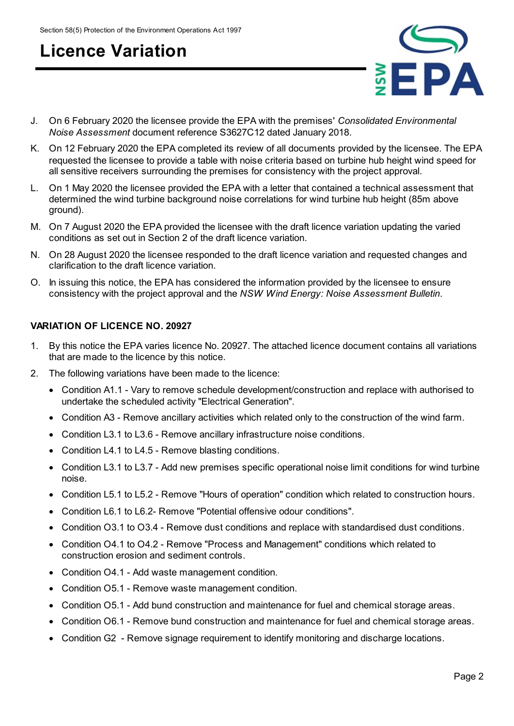### **Licence Variation**



- J. On 6 February 2020 the licensee provide the EPA with the premises' *Consolidated Environmental Noise Assessment* document reference S3627C12 dated January 2018.
- K. On 12 February 2020 the EPA completed its review of all documents provided by the licensee. The EPA requested the licensee to provide a table with noise criteria based on turbine hub height wind speed for all sensitive receivers surrounding the premises for consistency with the project approval.
- L. On 1 May 2020 the licensee provided the EPA with a letter that contained a technical assessment that determined the wind turbine background noise correlations for wind turbine hub height (85m above ground).
- M. On 7 August 2020 the EPA provided the licensee with the draft licence variation updating the varied conditions as set out in Section 2 of the draft licence variation.
- N. On 28 August 2020 the licensee responded to the draft licence variation and requested changes and clarification to the draft licence variation.
- O. In issuing this notice, the EPA has considered the information provided by the licensee to ensure consistency with the project approval and the *NSW Wind Energy: Noise Assessment Bulletin*.

#### **VARIATION OF LICENCE NO. 20927**

- 1. By this notice the EPA varies licence No. 20927. The attached licence document contains all variations that are made to the licence by this notice.
- 2. The following variations have been made to the licence:
	- Condition A1.1 Vary to remove schedule development/construction and replace with authorised to undertake the scheduled activity "Electrical Generation".
	- Condition A3 Remove ancillary activities which related only to the construction of the wind farm.
	- Condition L3.1 to L3.6 Remove ancillary infrastructure noise conditions.
	- Condition L4.1 to L4.5 Remove blasting conditions.
	- Condition L3.1 to L3.7 Add new premises specific operational noise limit conditions for wind turbine noise.
	- Condition L5.1 to L5.2 Remove "Hours of operation" condition which related to construction hours.
	- Condition L6.1 to L6.2- Remove "Potential offensive odour conditions".
	- Condition O3.1 to O3.4 Remove dust conditions and replace with standardised dust conditions.
	- Condition O4.1 to O4.2 Remove "Process and Management" conditions which related to construction erosion and sediment controls.
	- Condition O4.1 Add waste management condition.
	- Condition O5.1 Remove waste management condition.
	- Condition O5.1 Add bund construction and maintenance for fuel and chemical storage areas.
	- Condition O6.1 Remove bund construction and maintenance for fuel and chemical storage areas.
	- Condition G2 Remove signage requirement to identify monitoring and discharge locations.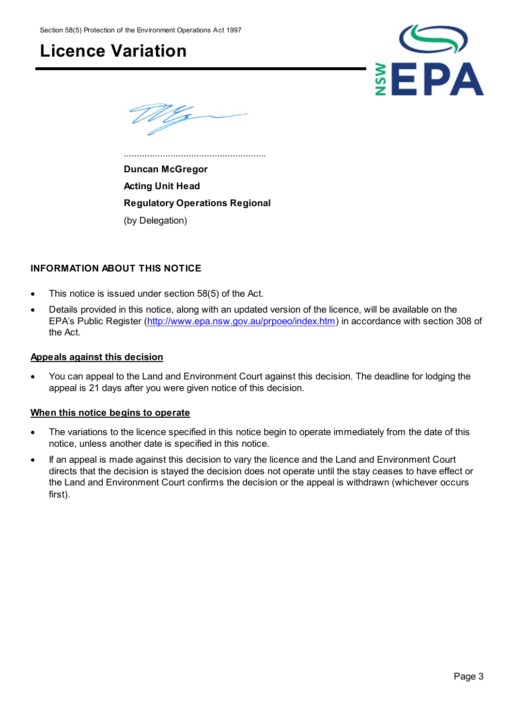Section 58(5) Protection of the Environment Operations Act 1997

### **Licence Variation**



**Duncan McGregor Acting Unit Head Regulatory Operations Regional** (by Delegation)

.......................................................

#### **INFORMATION ABOUT THIS NOTICE**

- This notice is issued under section 58(5) of the Act.
- Details provided in this notice, along with an updated version of the licence, will be available on the EPA's Public Register [\(http://www.epa.nsw.gov.au/prpoeo/index.htm](http://www.environment.nsw.gov.au/prpoeo/index.htm)) in accordance with section 308 of the Act.

#### **Appeals against this decision**

 You can appeal to the Land and Environment Court against this decision. The deadline for lodging the appeal is 21 days after you were given notice of this decision.

#### **When this notice begins to operate**

- The variations to the licence specified in this notice begin to operate immediately from the date of this notice, unless another date is specified in this notice.
- If an appeal is made against this decision to vary the licence and the Land and Environment Court directs that the decision is stayed the decision does not operate until the stay ceases to have effect or the Land and Environment Court confirms the decision or the appeal is withdrawn (whichever occurs first).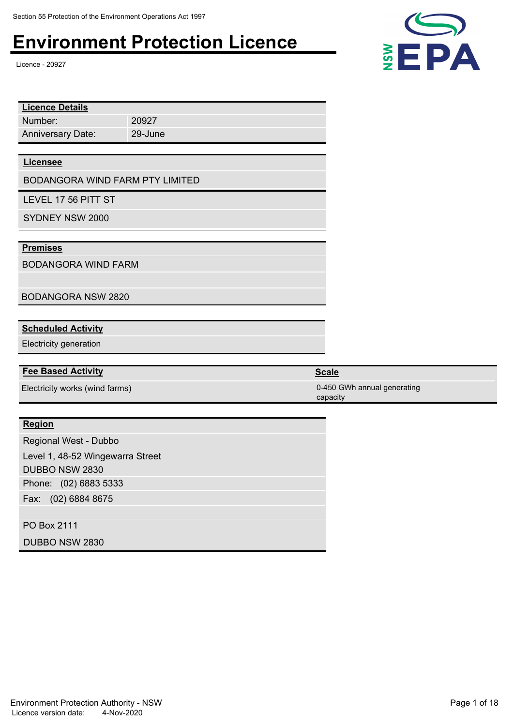Licence - 20927

| 20927                           |  |  |
|---------------------------------|--|--|
| 29-June                         |  |  |
|                                 |  |  |
|                                 |  |  |
| BODANGORA WIND FARM PTY LIMITED |  |  |
|                                 |  |  |

LEVEL 17 56 PITT ST

SYDNEY NSW 2000

#### **Premises**

BODANGORA WIND FARM

BODANGORA NSW 2820

#### **Scheduled Activity**

Electricity generation

#### **Fee Based Activity Scale Scale Scale Scale**

#### **Region**

Phone: (02) 6883 5333 Fax: (02) 6884 8675 Regional West - Dubbo Level 1, 48-52 Wingewarra Street DUBBO NSW 2830

PO Box 2111

DUBBO NSW 2830



Electricity works (wind farms) 0-450 GWh annual generating capacity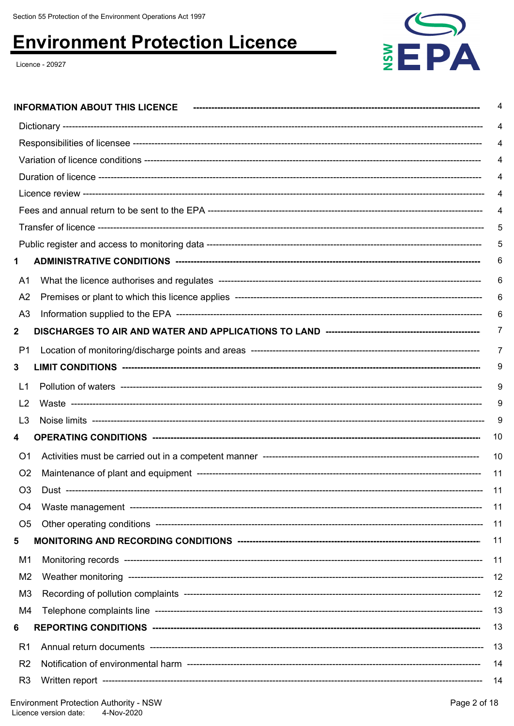Licence - 20927



|                | 4        |
|----------------|----------|
|                |          |
|                |          |
|                |          |
|                |          |
|                |          |
|                | 5        |
|                |          |
| 1              | 6        |
| A1             | 6        |
| A <sub>2</sub> | 6        |
| A <sub>3</sub> |          |
| $\mathbf{2}$   | $\prime$ |
| P1             | 7        |
| 3              | 9        |
| L1             | 9        |
| L <sub>2</sub> | 9        |
| L <sub>3</sub> | 9        |
| 4              | 10       |
| O <sub>1</sub> | 10       |
| O <sub>2</sub> | 11       |
| O <sub>3</sub> | -11      |
| O <sub>4</sub> | 11       |
| O <sub>5</sub> | 11       |
| 5              | 11       |
| M1             | 11       |
| M <sub>2</sub> | 12       |
| M <sub>3</sub> | 12       |
| M4             | 13       |
| 6              | 13       |
| R1             | 13       |
| R <sub>2</sub> | 14       |
| R <sub>3</sub> | -14      |
|                |          |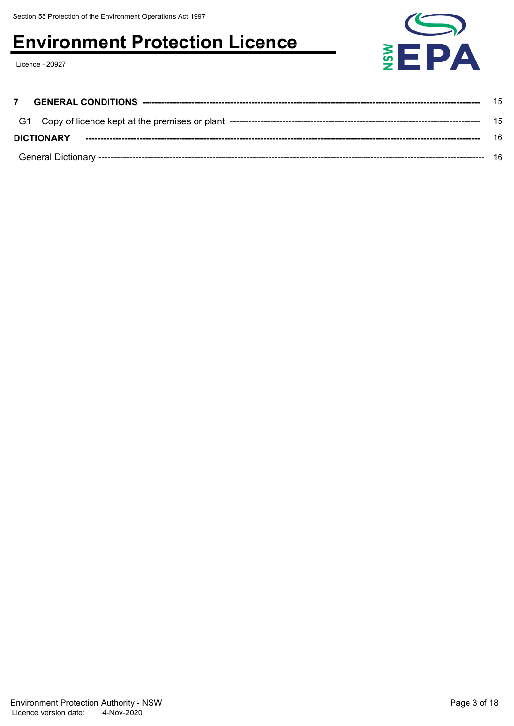Licence - 20927



|                   | 15 |
|-------------------|----|
|                   | 15 |
| <b>DICTIONARY</b> | 16 |
|                   | 16 |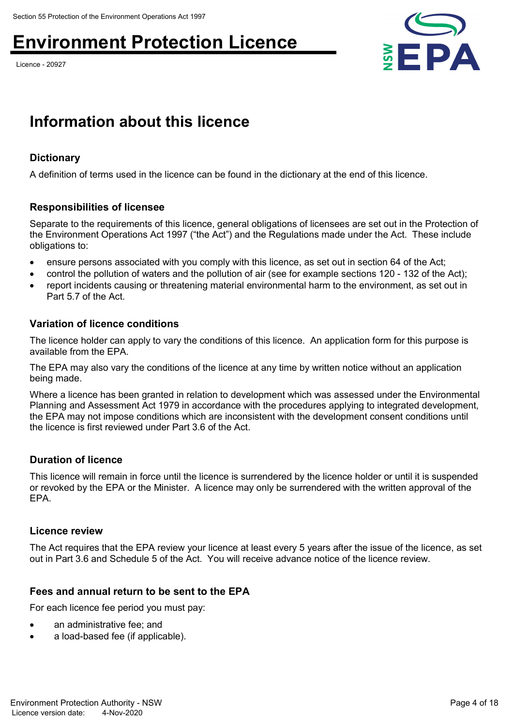Licence - 20927



### **Information about this licence**

#### **Dictionary**

A definition of terms used in the licence can be found in the dictionary at the end of this licence.

#### **Responsibilities of licensee**

Separate to the requirements of this licence, general obligations of licensees are set out in the Protection of the Environment Operations Act 1997 ("the Act") and the Regulations made under the Act. These include obligations to:

- ensure persons associated with you comply with this licence, as set out in section 64 of the Act;
- control the pollution of waters and the pollution of air (see for example sections 120 132 of the Act);
- report incidents causing or threatening material environmental harm to the environment, as set out in Part 5.7 of the Act.

#### **Variation of licence conditions**

The licence holder can apply to vary the conditions of this licence. An application form for this purpose is available from the EPA.

The EPA may also vary the conditions of the licence at any time by written notice without an application being made.

Where a licence has been granted in relation to development which was assessed under the Environmental Planning and Assessment Act 1979 in accordance with the procedures applying to integrated development, the EPA may not impose conditions which are inconsistent with the development consent conditions until the licence is first reviewed under Part 3.6 of the Act.

#### **Duration of licence**

This licence will remain in force until the licence is surrendered by the licence holder or until it is suspended or revoked by the EPA or the Minister. A licence may only be surrendered with the written approval of the EPA.

#### **Licence review**

The Act requires that the EPA review your licence at least every 5 years after the issue of the licence, as set out in Part 3.6 and Schedule 5 of the Act. You will receive advance notice of the licence review.

#### **Fees and annual return to be sent to the EPA**

For each licence fee period you must pay:

- an administrative fee; and
- a load-based fee (if applicable).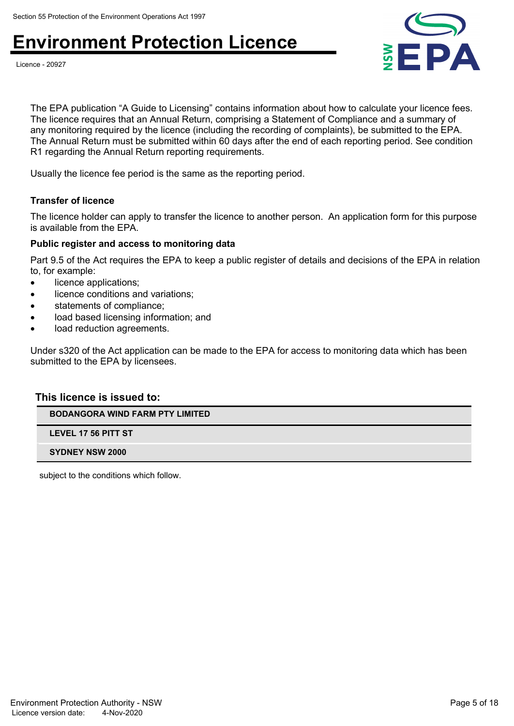



The EPA publication "A Guide to Licensing" contains information about how to calculate your licence fees. The licence requires that an Annual Return, comprising a Statement of Compliance and a summary of any monitoring required by the licence (including the recording of complaints), be submitted to the EPA. The Annual Return must be submitted within 60 days after the end of each reporting period. See condition R1 regarding the Annual Return reporting requirements.

Usually the licence fee period is the same as the reporting period.

#### **Transfer of licence**

The licence holder can apply to transfer the licence to another person. An application form for this purpose is available from the EPA.

#### **Public register and access to monitoring data**

Part 9.5 of the Act requires the EPA to keep a public register of details and decisions of the EPA in relation to, for example:

- licence applications;
- licence conditions and variations;
- statements of compliance;
- load based licensing information; and
- load reduction agreements.

Under s320 of the Act application can be made to the EPA for access to monitoring data which has been submitted to the EPA by licensees.

#### **This licence is issued to:**

**BODANGORA WIND FARM PTY LIMITED**

**LEVEL 17 56 PITT ST**

**SYDNEY NSW 2000**

subject to the conditions which follow.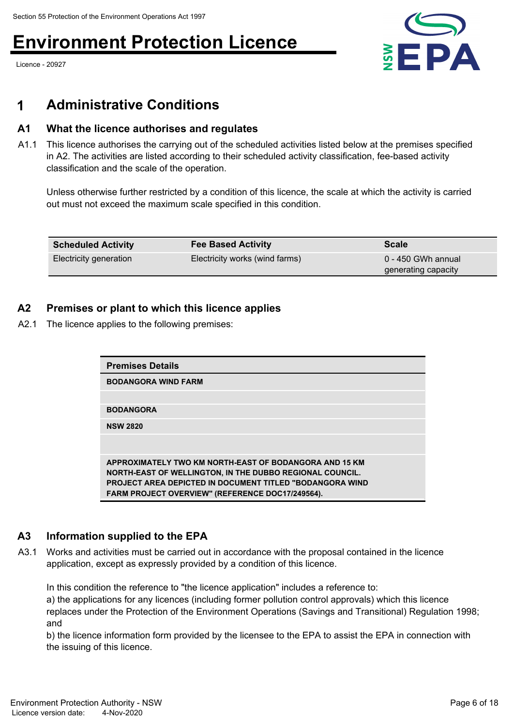Licence - 20927



### **1 Administrative Conditions**

#### **A1 What the licence authorises and regulates**

A1.1 This licence authorises the carrying out of the scheduled activities listed below at the premises specified in A2. The activities are listed according to their scheduled activity classification, fee-based activity classification and the scale of the operation.

Unless otherwise further restricted by a condition of this licence, the scale at which the activity is carried out must not exceed the maximum scale specified in this condition.

| <b>Scheduled Activity</b> | <b>Fee Based Activity</b>      | <b>Scale</b>                              |
|---------------------------|--------------------------------|-------------------------------------------|
| Electricity generation    | Electricity works (wind farms) | 0 - 450 GWh annual<br>generating capacity |

### **A2 Premises or plant to which this licence applies**

A2.1 The licence applies to the following premises:

| <b>Premises Details</b>                                          |  |
|------------------------------------------------------------------|--|
| <b>BODANGORA WIND FARM</b>                                       |  |
|                                                                  |  |
| <b>BODANGORA</b>                                                 |  |
| <b>NSW 2820</b>                                                  |  |
|                                                                  |  |
|                                                                  |  |
| APPROXIMATELY TWO KM NORTH-EAST OF BODANGORA AND 15 KM           |  |
| NORTH-EAST OF WELLINGTON, IN THE DUBBO REGIONAL COUNCIL.         |  |
| <b>PROJECT AREA DEPICTED IN DOCUMENT TITLED "BODANGORA WIND"</b> |  |
| <b>FARM PROJECT OVERVIEW" (REFERENCE DOC17/249564).</b>          |  |

### **A3 Information supplied to the EPA**

A3.1 Works and activities must be carried out in accordance with the proposal contained in the licence application, except as expressly provided by a condition of this licence.

In this condition the reference to "the licence application" includes a reference to:

a) the applications for any licences (including former pollution control approvals) which this licence replaces under the Protection of the Environment Operations (Savings and Transitional) Regulation 1998; and

b) the licence information form provided by the licensee to the EPA to assist the EPA in connection with the issuing of this licence.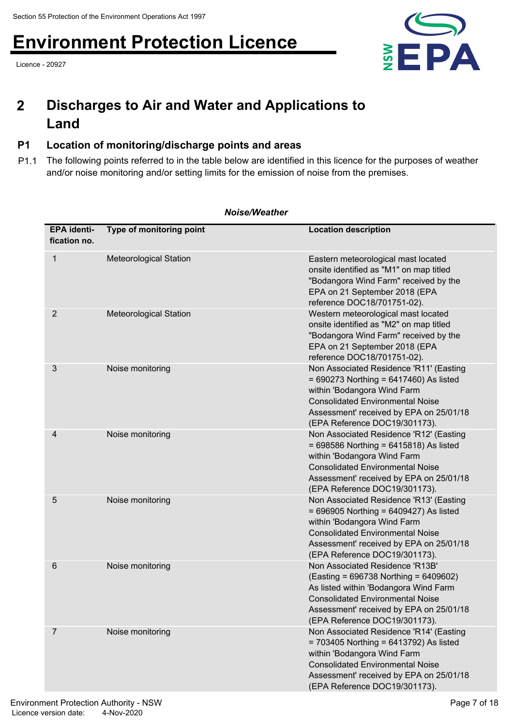Licence - 20927



### **Discharges to Air and Water and Applications to Land 2**

### **P1 Location of monitoring/discharge points and areas**

P1.1 The following points referred to in the table below are identified in this licence for the purposes of weather and/or noise monitoring and/or setting limits for the emission of noise from the premises.

| <b>EPA identi-</b><br>fication no. | Type of monitoring point      | <b>Location description</b>                                                                                                                                                                                                                  |
|------------------------------------|-------------------------------|----------------------------------------------------------------------------------------------------------------------------------------------------------------------------------------------------------------------------------------------|
| $\mathbf{1}$                       | <b>Meteorological Station</b> | Eastern meteorological mast located<br>onsite identified as "M1" on map titled<br>"Bodangora Wind Farm" received by the<br>EPA on 21 September 2018 (EPA<br>reference DOC18/701751-02).                                                      |
| 2                                  | <b>Meteorological Station</b> | Western meteorological mast located<br>onsite identified as "M2" on map titled<br>"Bodangora Wind Farm" received by the<br>EPA on 21 September 2018 (EPA<br>reference DOC18/701751-02).                                                      |
| 3                                  | Noise monitoring              | Non Associated Residence 'R11' (Easting<br>$= 690273$ Northing = 6417460) As listed<br>within 'Bodangora Wind Farm<br><b>Consolidated Environmental Noise</b><br>Assessment' received by EPA on 25/01/18<br>(EPA Reference DOC19/301173).    |
| 4                                  | Noise monitoring              | Non Associated Residence 'R12' (Easting<br>$= 698586$ Northing = 6415818) As listed<br>within 'Bodangora Wind Farm<br><b>Consolidated Environmental Noise</b><br>Assessment' received by EPA on 25/01/18<br>(EPA Reference DOC19/301173).    |
| 5                                  | Noise monitoring              | Non Associated Residence 'R13' (Easting<br>$= 696905$ Northing = 6409427) As listed<br>within 'Bodangora Wind Farm<br><b>Consolidated Environmental Noise</b><br>Assessment' received by EPA on 25/01/18<br>(EPA Reference DOC19/301173).    |
| 6                                  | Noise monitoring              | Non Associated Residence 'R13B'<br>(Easting = 696738 Northing = 6409602)<br>As listed within 'Bodangora Wind Farm<br><b>Consolidated Environmental Noise</b><br>Assessment' received by EPA on 25/01/18<br>(EPA Reference DOC19/301173).     |
| 7                                  | Noise monitoring              | Non Associated Residence 'R14' (Easting<br>$= 703405$ Northing $= 6413792$ ) As listed<br>within 'Bodangora Wind Farm<br><b>Consolidated Environmental Noise</b><br>Assessment' received by EPA on 25/01/18<br>(EPA Reference DOC19/301173). |

#### *Noise/Weather*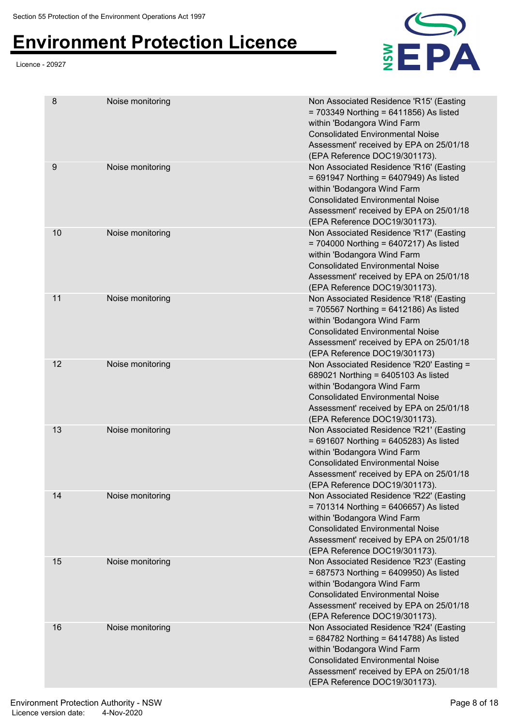#### Licence - 20927



| 8  | Noise monitoring | Non Associated Residence 'R15' (Easting<br>$= 703349$ Northing = 6411856) As listed<br>within 'Bodangora Wind Farm<br><b>Consolidated Environmental Noise</b><br>Assessment' received by EPA on 25/01/18<br>(EPA Reference DOC19/301173). |
|----|------------------|-------------------------------------------------------------------------------------------------------------------------------------------------------------------------------------------------------------------------------------------|
| 9  | Noise monitoring | Non Associated Residence 'R16' (Easting<br>$= 691947$ Northing = 6407949) As listed<br>within 'Bodangora Wind Farm<br><b>Consolidated Environmental Noise</b><br>Assessment' received by EPA on 25/01/18<br>(EPA Reference DOC19/301173). |
| 10 | Noise monitoring | Non Associated Residence 'R17' (Easting<br>$= 704000$ Northing = 6407217) As listed<br>within 'Bodangora Wind Farm<br><b>Consolidated Environmental Noise</b><br>Assessment' received by EPA on 25/01/18<br>(EPA Reference DOC19/301173). |
| 11 | Noise monitoring | Non Associated Residence 'R18' (Easting<br>$= 705567$ Northing = 6412186) As listed<br>within 'Bodangora Wind Farm<br><b>Consolidated Environmental Noise</b><br>Assessment' received by EPA on 25/01/18<br>(EPA Reference DOC19/301173)  |
| 12 | Noise monitoring | Non Associated Residence 'R20' Easting =<br>689021 Northing = 6405103 As listed<br>within 'Bodangora Wind Farm<br><b>Consolidated Environmental Noise</b><br>Assessment' received by EPA on 25/01/18<br>(EPA Reference DOC19/301173).     |
| 13 | Noise monitoring | Non Associated Residence 'R21' (Easting<br>$= 691607$ Northing = 6405283) As listed<br>within 'Bodangora Wind Farm<br><b>Consolidated Environmental Noise</b><br>Assessment' received by EPA on 25/01/18<br>(EPA Reference DOC19/301173). |
| 14 | Noise monitoring | Non Associated Residence 'R22' (Easting<br>$= 701314$ Northing = 6406657) As listed<br>within 'Bodangora Wind Farm<br><b>Consolidated Environmental Noise</b><br>Assessment' received by EPA on 25/01/18<br>(EPA Reference DOC19/301173). |
| 15 | Noise monitoring | Non Associated Residence 'R23' (Easting<br>$= 687573$ Northing = 6409950) As listed<br>within 'Bodangora Wind Farm<br><b>Consolidated Environmental Noise</b><br>Assessment' received by EPA on 25/01/18<br>(EPA Reference DOC19/301173). |
| 16 | Noise monitoring | Non Associated Residence 'R24' (Easting<br>$= 684782$ Northing = 6414788) As listed<br>within 'Bodangora Wind Farm<br><b>Consolidated Environmental Noise</b><br>Assessment' received by EPA on 25/01/18<br>(EPA Reference DOC19/301173). |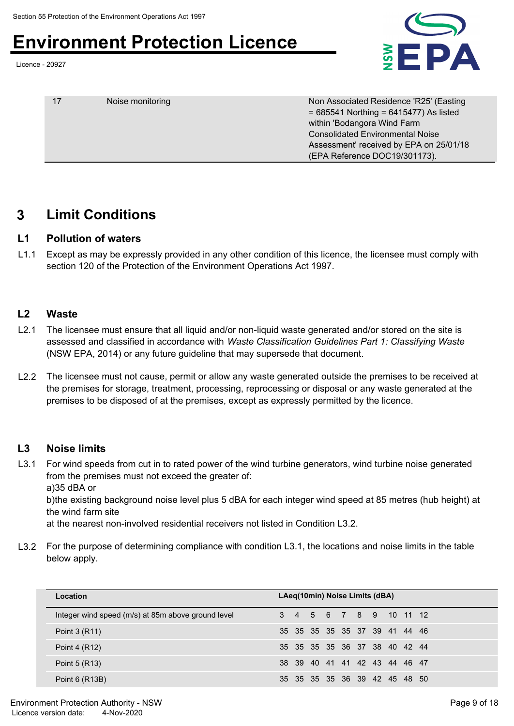Licence - 20927



| 17 | Noise monitoring | Non Associated Residence 'R25' (Easting<br>$= 685541$ Northing = 6415477) As listed<br>within 'Bodangora Wind Farm<br><b>Consolidated Environmental Noise</b> |
|----|------------------|---------------------------------------------------------------------------------------------------------------------------------------------------------------|
|    |                  | Assessment' received by EPA on 25/01/18<br>(EPA Reference DOC19/301173).                                                                                      |

### **3 Limit Conditions**

#### **L1 Pollution of waters**

L1.1 Except as may be expressly provided in any other condition of this licence, the licensee must comply with section 120 of the Protection of the Environment Operations Act 1997.

### **L2 Waste**

- L2.1 The licensee must ensure that all liquid and/or non-liquid waste generated and/or stored on the site is assessed and classified in accordance with *Waste Classification Guidelines Part 1: Classifying Waste* (NSW EPA, 2014) or any future guideline that may supersede that document.
- L2.2 The licensee must not cause, permit or allow any waste generated outside the premises to be received at the premises for storage, treatment, processing, reprocessing or disposal or any waste generated at the premises to be disposed of at the premises, except as expressly permitted by the licence.

### **L3 Noise limits**

L3.1 For wind speeds from cut in to rated power of the wind turbine generators, wind turbine noise generated from the premises must not exceed the greater of: a)35 dBA or

b)the existing background noise level plus 5 dBA for each integer wind speed at 85 metres (hub height) at the wind farm site

at the nearest non-involved residential receivers not listed in Condition L3.2.

L3.2 For the purpose of determining compliance with condition L3.1, the locations and noise limits in the table below apply.

| Location                                           | LAeg(10min) Noise Limits (dBA) |
|----------------------------------------------------|--------------------------------|
| Integer wind speed (m/s) at 85m above ground level | 3 4 5 6 7 8 9 10 11 12         |
| Point 3 (R11)                                      | 35 35 35 35 35 37 39 41 44 46  |
| Point 4 (R12)                                      | 35 35 35 35 36 37 38 40 42 44  |
| Point 5 (R13)                                      | 38 39 40 41 41 42 43 44 46 47  |
| Point 6 (R13B)                                     | 35 35 35 35 36 39 42 45 48 50  |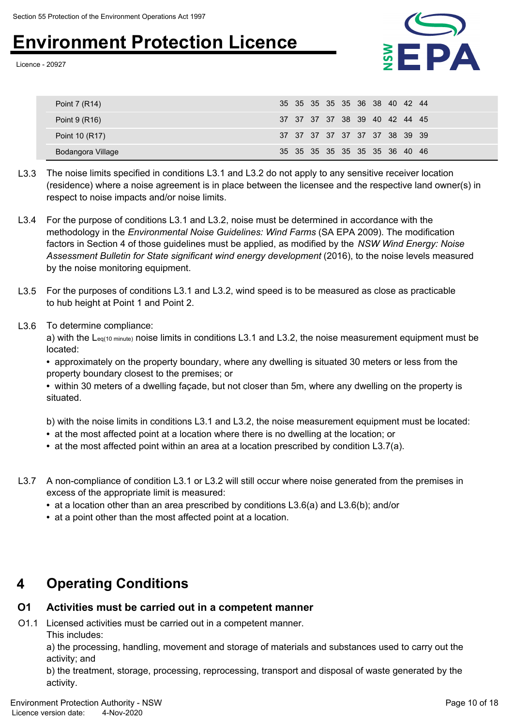Licence - 20927



| Point 7 (R14)     | 35 35 35 35 35 36 38 40 42 44 |
|-------------------|-------------------------------|
| Point 9 (R16)     | 37 37 37 37 38 39 40 42 44 45 |
| Point 10 (R17)    | 37 37 37 37 37 37 37 38 39 39 |
| Bodangora Village | 35 35 35 35 35 35 35 36 40 46 |

- L3.3 The noise limits specified in conditions L3.1 and L3.2 do not apply to any sensitive receiver location (residence) where a noise agreement is in place between the licensee and the respective land owner(s) in respect to noise impacts and/or noise limits.
- L3.4 For the purpose of conditions L3.1 and L3.2, noise must be determined in accordance with the methodology in the *Environmental Noise Guidelines: Wind Farms* (SA EPA 2009). The modification factors in Section 4 of those guidelines must be applied, as modified by the *NSW Wind Energy: Noise Assessment Bulletin for State significant wind energy development* (2016), to the noise levels measured by the noise monitoring equipment.
- L3.5 For the purposes of conditions L3.1 and L3.2, wind speed is to be measured as close as practicable to hub height at Point 1 and Point 2.
- L3.6 To determine compliance:

a) with the Leq(10 minute) noise limits in conditions L3.1 and L3.2, the noise measurement equipment must be located:

**•** approximately on the property boundary, where any dwelling is situated 30 meters or less from the property boundary closest to the premises; or

**•** within 30 meters of a dwelling façade, but not closer than 5m, where any dwelling on the property is situated.

b) with the noise limits in conditions L3.1 and L3.2, the noise measurement equipment must be located:

- at the most affected point at a location where there is no dwelling at the location; or
- at the most affected point within an area at a location prescribed by condition L3.7(a).
- L3.7 A non-compliance of condition L3.1 or L3.2 will still occur where noise generated from the premises in excess of the appropriate limit is measured:
	- at a location other than an area prescribed by conditions L3.6(a) and L3.6(b); and/or
	- at a point other than the most affected point at a location.

### **4 Operating Conditions**

#### **O1 Activities must be carried out in a competent manner**

O1.1 Licensed activities must be carried out in a competent manner. This includes:

a) the processing, handling, movement and storage of materials and substances used to carry out the activity; and

b) the treatment, storage, processing, reprocessing, transport and disposal of waste generated by the activity.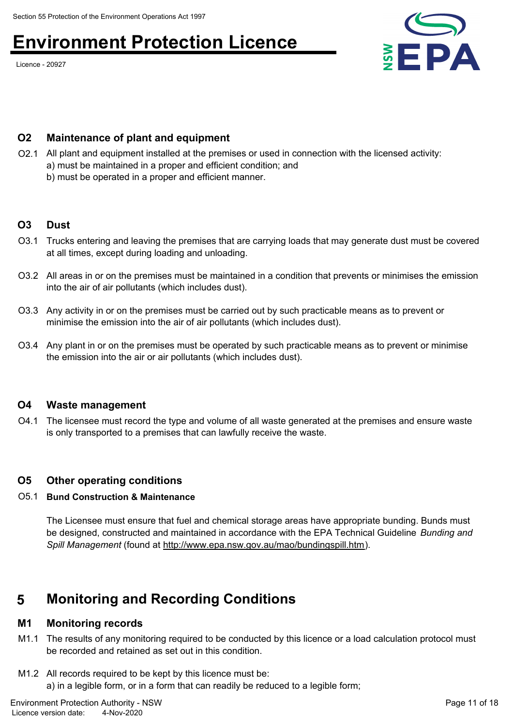Licence - 20927



#### **O2 Maintenance of plant and equipment**

- O2.1 All plant and equipment installed at the premises or used in connection with the licensed activity:
	- a) must be maintained in a proper and efficient condition; and
		- b) must be operated in a proper and efficient manner.

#### **O3** Dust

- O3.1 Trucks entering and leaving the premises that are carrying loads that may generate dust must be covered at all times, except during loading and unloading.
- O3.2 All areas in or on the premises must be maintained in a condition that prevents or minimises the emission into the air of air pollutants (which includes dust).
- O3.3 Any activity in or on the premises must be carried out by such practicable means as to prevent or minimise the emission into the air of air pollutants (which includes dust).
- O3.4 Any plant in or on the premises must be operated by such practicable means as to prevent or minimise the emission into the air or air pollutants (which includes dust).

#### **O4 Waste management**

O4.1 The licensee must record the type and volume of all waste generated at the premises and ensure waste is only transported to a premises that can lawfully receive the waste.

#### **O5 Other operating conditions**

#### O5.1 **Bund Construction & Maintenance**

The Licensee must ensure that fuel and chemical storage areas have appropriate bunding. Bunds must be designed, constructed and maintained in accordance with the EPA Technical Guideline *Bunding and Spill Management* (found at<http://www.epa.nsw.gov.au/mao/bundingspill.htm>).

### **5 Monitoring and Recording Conditions**

#### **M1 Monitoring records**

- M1.1 The results of any monitoring required to be conducted by this licence or a load calculation protocol must be recorded and retained as set out in this condition.
- M1.2 All records required to be kept by this licence must be: a) in a legible form, or in a form that can readily be reduced to a legible form;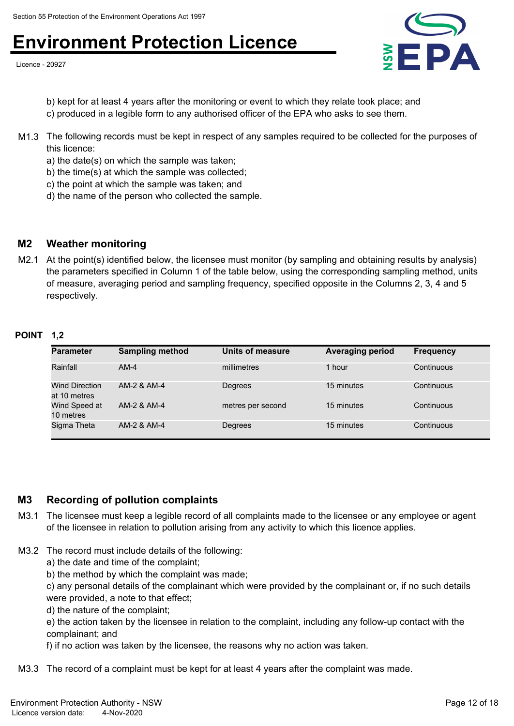Licence - 20927



b) kept for at least 4 years after the monitoring or event to which they relate took place; and c) produced in a legible form to any authorised officer of the EPA who asks to see them.

- M1.3 The following records must be kept in respect of any samples required to be collected for the purposes of this licence:
	- a) the date(s) on which the sample was taken;
	- b) the time(s) at which the sample was collected;
	- c) the point at which the sample was taken; and
	- d) the name of the person who collected the sample.

#### **M2 Weather monitoring**

M2.1 At the point(s) identified below, the licensee must monitor (by sampling and obtaining results by analysis) the parameters specified in Column 1 of the table below, using the corresponding sampling method, units of measure, averaging period and sampling frequency, specified opposite in the Columns 2, 3, 4 and 5 respectively.

#### **POINT 1,2**

| <b>Parameter</b>                      | <b>Sampling method</b> | Units of measure  | <b>Averaging period</b> | <b>Frequency</b> |
|---------------------------------------|------------------------|-------------------|-------------------------|------------------|
| Rainfall                              | $AM-4$                 | millimetres       | 1 hour                  | Continuous       |
| <b>Wind Direction</b><br>at 10 metres | AM-2 & AM-4            | Degrees           | 15 minutes              | Continuous       |
| Wind Speed at<br>10 metres            | AM-2 & AM-4            | metres per second | 15 minutes              | Continuous       |
| Sigma Theta                           | AM-2 & AM-4            | Degrees           | 15 minutes              | Continuous       |

#### **M3 Recording of pollution complaints**

- M3.1 The licensee must keep a legible record of all complaints made to the licensee or any employee or agent of the licensee in relation to pollution arising from any activity to which this licence applies.
- M3.2 The record must include details of the following:
	- a) the date and time of the complaint;
	- b) the method by which the complaint was made;

c) any personal details of the complainant which were provided by the complainant or, if no such details were provided, a note to that effect;

d) the nature of the complaint;

e) the action taken by the licensee in relation to the complaint, including any follow-up contact with the complainant; and

f) if no action was taken by the licensee, the reasons why no action was taken.

M3.3 The record of a complaint must be kept for at least 4 years after the complaint was made.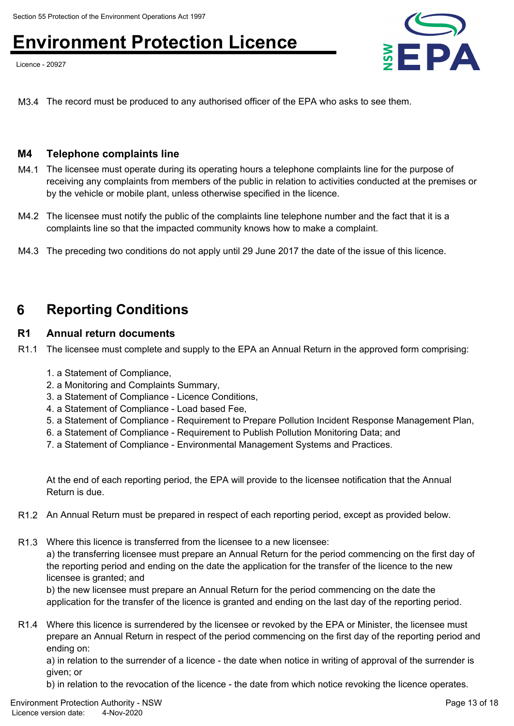Licence - 20927



M3.4 The record must be produced to any authorised officer of the EPA who asks to see them.

#### **M4 Telephone complaints line**

- M4.1 The licensee must operate during its operating hours a telephone complaints line for the purpose of receiving any complaints from members of the public in relation to activities conducted at the premises or by the vehicle or mobile plant, unless otherwise specified in the licence.
- M4.2 The licensee must notify the public of the complaints line telephone number and the fact that it is a complaints line so that the impacted community knows how to make a complaint.
- M4.3 The preceding two conditions do not apply until 29 June 2017 the date of the issue of this licence.

### **6 Reporting Conditions**

#### **R1 Annual return documents**

- R1.1 The licensee must complete and supply to the EPA an Annual Return in the approved form comprising:
	- 1. a Statement of Compliance,
	- 2. a Monitoring and Complaints Summary,
	- 3. a Statement of Compliance Licence Conditions,
	- 4. a Statement of Compliance Load based Fee,
	- 5. a Statement of Compliance Requirement to Prepare Pollution Incident Response Management Plan,
	- 6. a Statement of Compliance Requirement to Publish Pollution Monitoring Data; and
	- 7. a Statement of Compliance Environmental Management Systems and Practices.

At the end of each reporting period, the EPA will provide to the licensee notification that the Annual Return is due.

- R1.2 An Annual Return must be prepared in respect of each reporting period, except as provided below.
- R1.3 Where this licence is transferred from the licensee to a new licensee:

a) the transferring licensee must prepare an Annual Return for the period commencing on the first day of the reporting period and ending on the date the application for the transfer of the licence to the new licensee is granted; and

b) the new licensee must prepare an Annual Return for the period commencing on the date the application for the transfer of the licence is granted and ending on the last day of the reporting period.

R1.4 Where this licence is surrendered by the licensee or revoked by the EPA or Minister, the licensee must prepare an Annual Return in respect of the period commencing on the first day of the reporting period and ending on:

a) in relation to the surrender of a licence - the date when notice in writing of approval of the surrender is given; or

b) in relation to the revocation of the licence - the date from which notice revoking the licence operates.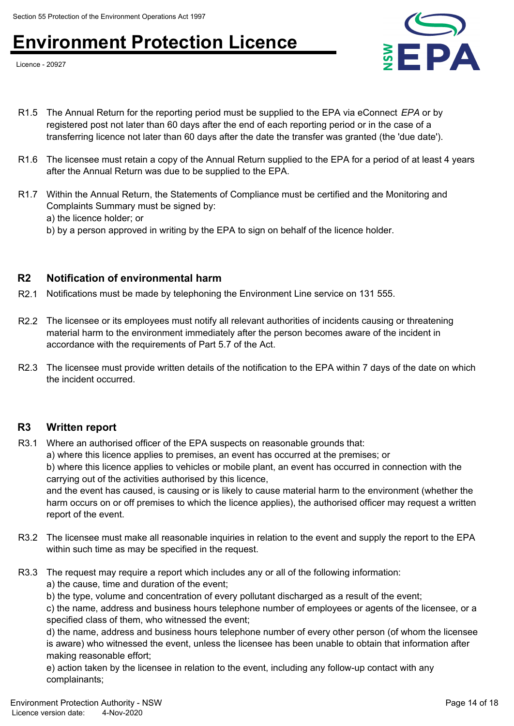Licence - 20927



- R1.5 The Annual Return for the reporting period must be supplied to the EPA via eConnect *EPA* or by registered post not later than 60 days after the end of each reporting period or in the case of a transferring licence not later than 60 days after the date the transfer was granted (the 'due date').
- R1.6 The licensee must retain a copy of the Annual Return supplied to the EPA for a period of at least 4 years after the Annual Return was due to be supplied to the EPA.
- R1.7 Within the Annual Return, the Statements of Compliance must be certified and the Monitoring and Complaints Summary must be signed by: a) the licence holder; or
	- b) by a person approved in writing by the EPA to sign on behalf of the licence holder.

### **R2 Notification of environmental harm**

- R2.1 Notifications must be made by telephoning the Environment Line service on 131 555.
- R2.2 The licensee or its employees must notify all relevant authorities of incidents causing or threatening material harm to the environment immediately after the person becomes aware of the incident in accordance with the requirements of Part 5.7 of the Act.
- R2.3 The licensee must provide written details of the notification to the EPA within 7 days of the date on which the incident occurred.

#### **R3 Written report**

- R3.1 Where an authorised officer of the EPA suspects on reasonable grounds that:
	- a) where this licence applies to premises, an event has occurred at the premises; or

b) where this licence applies to vehicles or mobile plant, an event has occurred in connection with the carrying out of the activities authorised by this licence,

and the event has caused, is causing or is likely to cause material harm to the environment (whether the harm occurs on or off premises to which the licence applies), the authorised officer may request a written report of the event.

- R3.2 The licensee must make all reasonable inquiries in relation to the event and supply the report to the EPA within such time as may be specified in the request.
- R3.3 The request may require a report which includes any or all of the following information:

a) the cause, time and duration of the event;

b) the type, volume and concentration of every pollutant discharged as a result of the event;

c) the name, address and business hours telephone number of employees or agents of the licensee, or a specified class of them, who witnessed the event;

d) the name, address and business hours telephone number of every other person (of whom the licensee is aware) who witnessed the event, unless the licensee has been unable to obtain that information after making reasonable effort;

e) action taken by the licensee in relation to the event, including any follow-up contact with any complainants;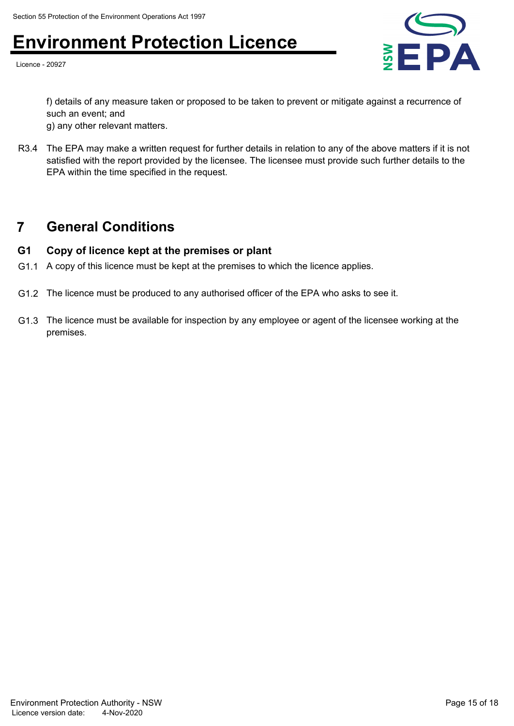Licence - 20927



f) details of any measure taken or proposed to be taken to prevent or mitigate against a recurrence of such an event; and

g) any other relevant matters.

R3.4 The EPA may make a written request for further details in relation to any of the above matters if it is not satisfied with the report provided by the licensee. The licensee must provide such further details to the EPA within the time specified in the request.

### **7 General Conditions**

### **G1 Copy of licence kept at the premises or plant**

- G1.1 A copy of this licence must be kept at the premises to which the licence applies.
- G1.2 The licence must be produced to any authorised officer of the EPA who asks to see it.
- G1.3 The licence must be available for inspection by any employee or agent of the licensee working at the premises.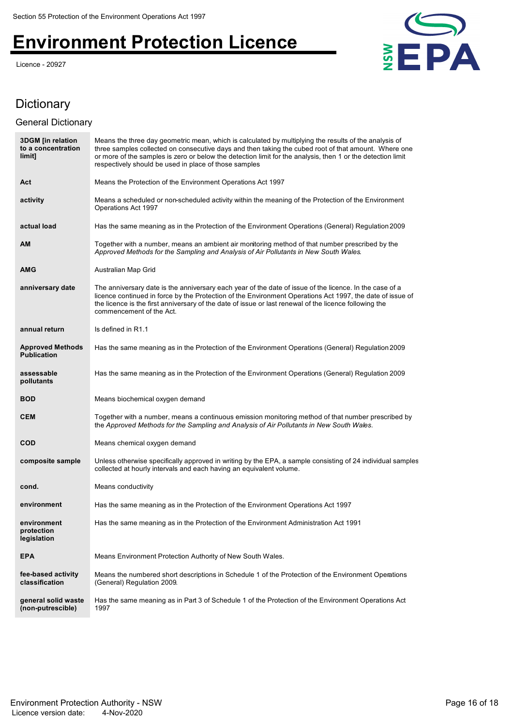Licence - 20927



### Dictionary

#### General Dictionary

| <b>3DGM</b> [in relation<br>to a concentration<br>limit] | Means the three day geometric mean, which is calculated by multiplying the results of the analysis of<br>three samples collected on consecutive days and then taking the cubed root of that amount. Where one<br>or more of the samples is zero or below the detection limit for the analysis, then 1 or the detection limit<br>respectively should be used in place of those samples |
|----------------------------------------------------------|---------------------------------------------------------------------------------------------------------------------------------------------------------------------------------------------------------------------------------------------------------------------------------------------------------------------------------------------------------------------------------------|
| Act                                                      | Means the Protection of the Environment Operations Act 1997                                                                                                                                                                                                                                                                                                                           |
| activity                                                 | Means a scheduled or non-scheduled activity within the meaning of the Protection of the Environment<br>Operations Act 1997                                                                                                                                                                                                                                                            |
| actual load                                              | Has the same meaning as in the Protection of the Environment Operations (General) Regulation 2009                                                                                                                                                                                                                                                                                     |
| <b>AM</b>                                                | Together with a number, means an ambient air monitoring method of that number prescribed by the<br>Approved Methods for the Sampling and Analysis of Air Pollutants in New South Wales.                                                                                                                                                                                               |
| <b>AMG</b>                                               | Australian Map Grid                                                                                                                                                                                                                                                                                                                                                                   |
| anniversary date                                         | The anniversary date is the anniversary each year of the date of issue of the licence. In the case of a<br>licence continued in force by the Protection of the Environment Operations Act 1997, the date of issue of<br>the licence is the first anniversary of the date of issue or last renewal of the licence following the<br>commencement of the Act.                            |
| annual return                                            | Is defined in R1.1                                                                                                                                                                                                                                                                                                                                                                    |
| <b>Approved Methods</b><br><b>Publication</b>            | Has the same meaning as in the Protection of the Environment Operations (General) Regulation 2009                                                                                                                                                                                                                                                                                     |
| assessable<br>pollutants                                 | Has the same meaning as in the Protection of the Environment Operations (General) Regulation 2009                                                                                                                                                                                                                                                                                     |
| <b>BOD</b>                                               | Means biochemical oxygen demand                                                                                                                                                                                                                                                                                                                                                       |
| <b>CEM</b>                                               | Together with a number, means a continuous emission monitoring method of that number prescribed by<br>the Approved Methods for the Sampling and Analysis of Air Pollutants in New South Wales.                                                                                                                                                                                        |
| <b>COD</b>                                               | Means chemical oxygen demand                                                                                                                                                                                                                                                                                                                                                          |
| composite sample                                         | Unless otherwise specifically approved in writing by the EPA, a sample consisting of 24 individual samples<br>collected at hourly intervals and each having an equivalent volume.                                                                                                                                                                                                     |
| cond.                                                    | Means conductivity                                                                                                                                                                                                                                                                                                                                                                    |
| environment                                              | Has the same meaning as in the Protection of the Environment Operations Act 1997                                                                                                                                                                                                                                                                                                      |
| environment<br>protection<br>legislation                 | Has the same meaning as in the Protection of the Environment Administration Act 1991                                                                                                                                                                                                                                                                                                  |
| <b>EPA</b>                                               | Means Environment Protection Authority of New South Wales.                                                                                                                                                                                                                                                                                                                            |
| fee-based activity<br>classification                     | Means the numbered short descriptions in Schedule 1 of the Protection of the Environment Operations<br>(General) Regulation 2009.                                                                                                                                                                                                                                                     |
| general solid waste<br>(non-putrescible)                 | Has the same meaning as in Part 3 of Schedule 1 of the Protection of the Environment Operations Act<br>1997                                                                                                                                                                                                                                                                           |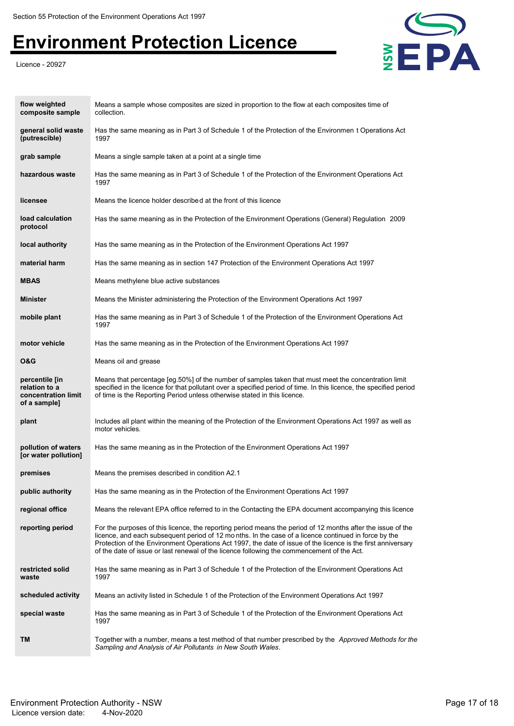Licence - 20927



| flow weighted<br>composite sample                                      | Means a sample whose composites are sized in proportion to the flow at each composites time of<br>collection.                                                                                                                                                                                                                                                                                                                     |
|------------------------------------------------------------------------|-----------------------------------------------------------------------------------------------------------------------------------------------------------------------------------------------------------------------------------------------------------------------------------------------------------------------------------------------------------------------------------------------------------------------------------|
| general solid waste<br>(putrescible)                                   | Has the same meaning as in Part 3 of Schedule 1 of the Protection of the Environmen t Operations Act<br>1997                                                                                                                                                                                                                                                                                                                      |
| grab sample                                                            | Means a single sample taken at a point at a single time                                                                                                                                                                                                                                                                                                                                                                           |
| hazardous waste                                                        | Has the same meaning as in Part 3 of Schedule 1 of the Protection of the Environment Operations Act<br>1997                                                                                                                                                                                                                                                                                                                       |
| licensee                                                               | Means the licence holder described at the front of this licence                                                                                                                                                                                                                                                                                                                                                                   |
| load calculation<br>protocol                                           | Has the same meaning as in the Protection of the Environment Operations (General) Regulation 2009                                                                                                                                                                                                                                                                                                                                 |
| local authority                                                        | Has the same meaning as in the Protection of the Environment Operations Act 1997                                                                                                                                                                                                                                                                                                                                                  |
| material harm                                                          | Has the same meaning as in section 147 Protection of the Environment Operations Act 1997                                                                                                                                                                                                                                                                                                                                          |
| <b>MBAS</b>                                                            | Means methylene blue active substances                                                                                                                                                                                                                                                                                                                                                                                            |
| <b>Minister</b>                                                        | Means the Minister administering the Protection of the Environment Operations Act 1997                                                                                                                                                                                                                                                                                                                                            |
| mobile plant                                                           | Has the same meaning as in Part 3 of Schedule 1 of the Protection of the Environment Operations Act<br>1997                                                                                                                                                                                                                                                                                                                       |
| motor vehicle                                                          | Has the same meaning as in the Protection of the Environment Operations Act 1997                                                                                                                                                                                                                                                                                                                                                  |
| 0&G                                                                    | Means oil and grease                                                                                                                                                                                                                                                                                                                                                                                                              |
| percentile [in<br>relation to a<br>concentration limit<br>of a sample] | Means that percentage [eg.50%] of the number of samples taken that must meet the concentration limit<br>specified in the licence for that pollutant over a specified period of time. In this licence, the specified period<br>of time is the Reporting Period unless otherwise stated in this licence.                                                                                                                            |
| plant                                                                  | Includes all plant within the meaning of the Protection of the Environment Operations Act 1997 as well as<br>motor vehicles.                                                                                                                                                                                                                                                                                                      |
| pollution of waters<br>[or water pollution]                            | Has the same meaning as in the Protection of the Environment Operations Act 1997                                                                                                                                                                                                                                                                                                                                                  |
| premises                                                               | Means the premises described in condition A2.1                                                                                                                                                                                                                                                                                                                                                                                    |
| public authority                                                       | Has the same meaning as in the Protection of the Environment Operations Act 1997                                                                                                                                                                                                                                                                                                                                                  |
| regional office                                                        | Means the relevant EPA office referred to in the Contacting the EPA document accompanying this licence                                                                                                                                                                                                                                                                                                                            |
| reporting period                                                       | For the purposes of this licence, the reporting period means the period of 12 months after the issue of the<br>licence, and each subsequent period of 12 months. In the case of a licence continued in force by the<br>Protection of the Environment Operations Act 1997, the date of issue of the licence is the first anniversary<br>of the date of issue or last renewal of the licence following the commencement of the Act. |
| restricted solid<br>waste                                              | Has the same meaning as in Part 3 of Schedule 1 of the Protection of the Environment Operations Act<br>1997                                                                                                                                                                                                                                                                                                                       |
| scheduled activity                                                     | Means an activity listed in Schedule 1 of the Protection of the Environment Operations Act 1997                                                                                                                                                                                                                                                                                                                                   |
| special waste                                                          | Has the same meaning as in Part 3 of Schedule 1 of the Protection of the Environment Operations Act<br>1997                                                                                                                                                                                                                                                                                                                       |
| TM                                                                     | Together with a number, means a test method of that number prescribed by the Approved Methods for the<br>Sampling and Analysis of Air Pollutants in New South Wales.                                                                                                                                                                                                                                                              |